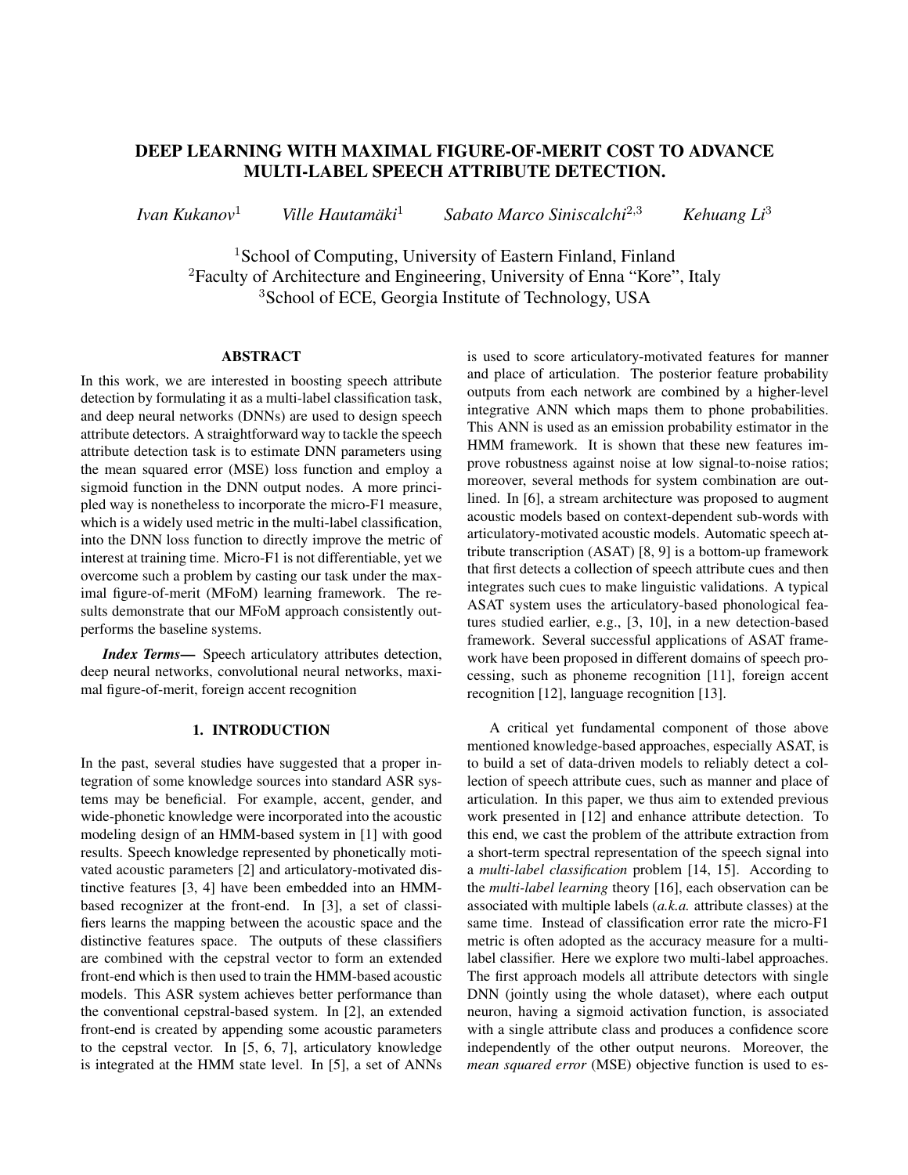# DEEP LEARNING WITH MAXIMAL FIGURE-OF-MERIT COST TO ADVANCE MULTI-LABEL SPEECH ATTRIBUTE DETECTION.

*Ivan Kukanov*<sup>1</sup> *Ville Hautamaki ¨* <sup>1</sup> *Sabato Marco Siniscalchi*<sup>2</sup>,<sup>3</sup> *Kehuang Li*<sup>3</sup>

<sup>1</sup>School of Computing, University of Eastern Finland, Finland <sup>2</sup>Faculty of Architecture and Engineering, University of Enna "Kore", Italy <sup>3</sup>School of ECE, Georgia Institute of Technology, USA

## ABSTRACT

In this work, we are interested in boosting speech attribute detection by formulating it as a multi-label classification task, and deep neural networks (DNNs) are used to design speech attribute detectors. A straightforward way to tackle the speech attribute detection task is to estimate DNN parameters using the mean squared error (MSE) loss function and employ a sigmoid function in the DNN output nodes. A more principled way is nonetheless to incorporate the micro-F1 measure, which is a widely used metric in the multi-label classification, into the DNN loss function to directly improve the metric of interest at training time. Micro-F1 is not differentiable, yet we overcome such a problem by casting our task under the maximal figure-of-merit (MFoM) learning framework. The results demonstrate that our MFoM approach consistently outperforms the baseline systems.

*Index Terms*— Speech articulatory attributes detection, deep neural networks, convolutional neural networks, maximal figure-of-merit, foreign accent recognition

#### 1. INTRODUCTION

In the past, several studies have suggested that a proper integration of some knowledge sources into standard ASR systems may be beneficial. For example, accent, gender, and wide-phonetic knowledge were incorporated into the acoustic modeling design of an HMM-based system in [1] with good results. Speech knowledge represented by phonetically motivated acoustic parameters [2] and articulatory-motivated distinctive features [3, 4] have been embedded into an HMMbased recognizer at the front-end. In [3], a set of classifiers learns the mapping between the acoustic space and the distinctive features space. The outputs of these classifiers are combined with the cepstral vector to form an extended front-end which is then used to train the HMM-based acoustic models. This ASR system achieves better performance than the conventional cepstral-based system. In [2], an extended front-end is created by appending some acoustic parameters to the cepstral vector. In [5, 6, 7], articulatory knowledge is integrated at the HMM state level. In [5], a set of ANNs

is used to score articulatory-motivated features for manner and place of articulation. The posterior feature probability outputs from each network are combined by a higher-level integrative ANN which maps them to phone probabilities. This ANN is used as an emission probability estimator in the HMM framework. It is shown that these new features improve robustness against noise at low signal-to-noise ratios; moreover, several methods for system combination are outlined. In [6], a stream architecture was proposed to augment acoustic models based on context-dependent sub-words with articulatory-motivated acoustic models. Automatic speech attribute transcription (ASAT) [8, 9] is a bottom-up framework that first detects a collection of speech attribute cues and then integrates such cues to make linguistic validations. A typical ASAT system uses the articulatory-based phonological features studied earlier, e.g., [3, 10], in a new detection-based framework. Several successful applications of ASAT framework have been proposed in different domains of speech processing, such as phoneme recognition [11], foreign accent recognition [12], language recognition [13].

A critical yet fundamental component of those above mentioned knowledge-based approaches, especially ASAT, is to build a set of data-driven models to reliably detect a collection of speech attribute cues, such as manner and place of articulation. In this paper, we thus aim to extended previous work presented in [12] and enhance attribute detection. To this end, we cast the problem of the attribute extraction from a short-term spectral representation of the speech signal into a *multi-label classification* problem [14, 15]. According to the *multi-label learning* theory [16], each observation can be associated with multiple labels (*a.k.a.* attribute classes) at the same time. Instead of classification error rate the micro-F1 metric is often adopted as the accuracy measure for a multilabel classifier. Here we explore two multi-label approaches. The first approach models all attribute detectors with single DNN (jointly using the whole dataset), where each output neuron, having a sigmoid activation function, is associated with a single attribute class and produces a confidence score independently of the other output neurons. Moreover, the *mean squared error* (MSE) objective function is used to es-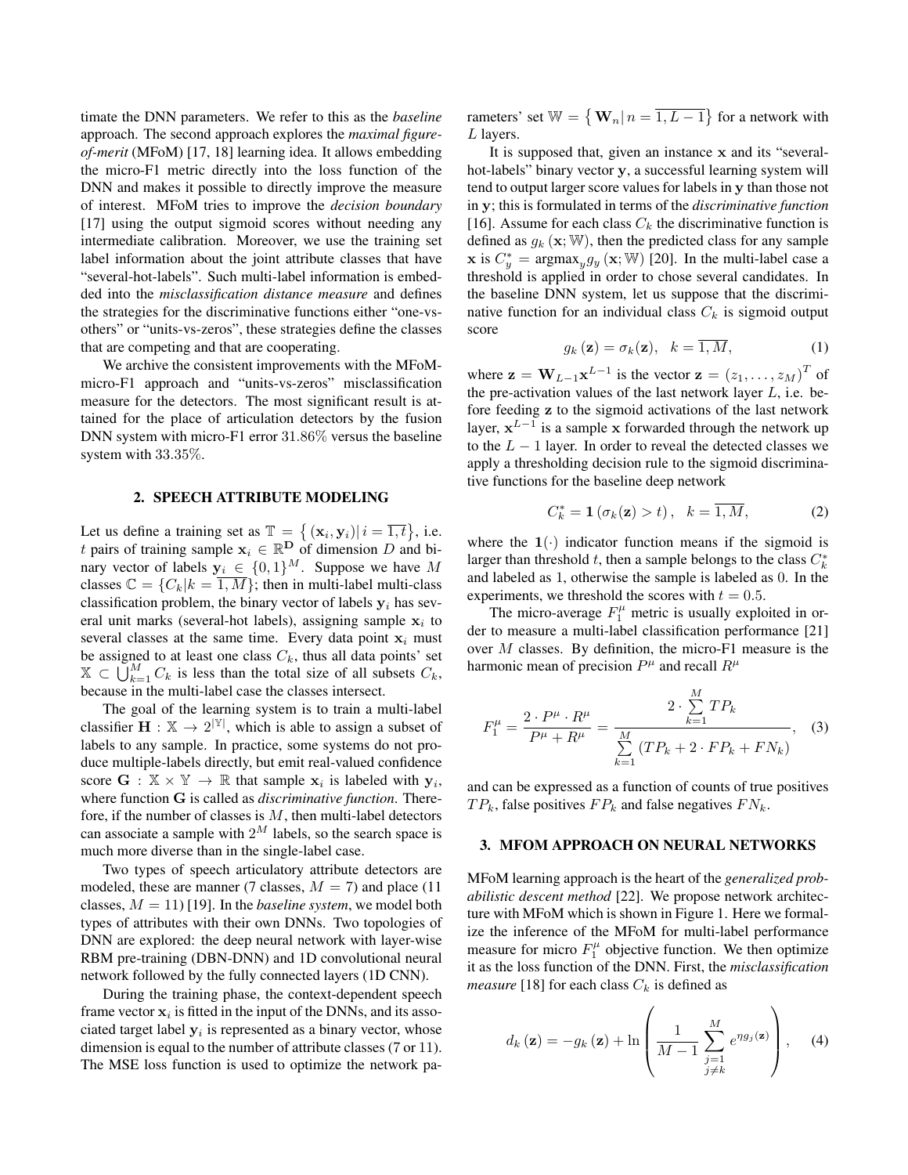timate the DNN parameters. We refer to this as the *baseline* approach. The second approach explores the *maximal figureof-merit* (MFoM) [17, 18] learning idea. It allows embedding the micro-F1 metric directly into the loss function of the DNN and makes it possible to directly improve the measure of interest. MFoM tries to improve the *decision boundary* [17] using the output sigmoid scores without needing any intermediate calibration. Moreover, we use the training set label information about the joint attribute classes that have "several-hot-labels". Such multi-label information is embedded into the *misclassification distance measure* and defines the strategies for the discriminative functions either "one-vsothers" or "units-vs-zeros", these strategies define the classes that are competing and that are cooperating.

We archive the consistent improvements with the MFoMmicro-F1 approach and "units-vs-zeros" misclassification measure for the detectors. The most significant result is attained for the place of articulation detectors by the fusion DNN system with micro-F1 error 31.86% versus the baseline system with 33.35%.

## 2. SPEECH ATTRIBUTE MODELING

Let us define a training set as  $\mathbb{T} = \{ (\mathbf{x}_i, \mathbf{y}_i) | i = \overline{1,t} \}, \text{ i.e.}$ t pairs of training sample  $x_i \in \mathbb{R}^{\mathbf{D}}$  of dimension D and binary vector of labels  $y_i \in \{0,1\}^M$ . Suppose we have M classes  $\mathbb{C} = \{C_k | k = \overline{1, M}\}$ ; then in multi-label multi-class classification problem, the binary vector of labels  $y_i$  has several unit marks (several-hot labels), assigning sample  $x_i$  to several classes at the same time. Every data point  $x_i$  must be assigned to at least one class  $C_k$ , thus all data points' set  $\mathbb{X} \subset \bigcup_{k=1}^{M} C_k$  is less than the total size of all subsets  $C_k$ , because in the multi-label case the classes intersect.

The goal of the learning system is to train a multi-label classifier  $\mathbf{H}: \mathbb{X} \to 2^{|\mathbb{Y}|}$ , which is able to assign a subset of labels to any sample. In practice, some systems do not produce multiple-labels directly, but emit real-valued confidence score  $\mathbf{G} : \mathbb{X} \times \mathbb{Y} \to \mathbb{R}$  that sample  $\mathbf{x}_i$  is labeled with  $\mathbf{y}_i$ , where function G is called as *discriminative function*. Therefore, if the number of classes is  $M$ , then multi-label detectors can associate a sample with  $2^M$  labels, so the search space is much more diverse than in the single-label case.

Two types of speech articulatory attribute detectors are modeled, these are manner (7 classes,  $M = 7$ ) and place (11 classes,  $M = 11$ ) [19]. In the *baseline system*, we model both types of attributes with their own DNNs. Two topologies of DNN are explored: the deep neural network with layer-wise RBM pre-training (DBN-DNN) and 1D convolutional neural network followed by the fully connected layers (1D CNN).

During the training phase, the context-dependent speech frame vector  $x_i$  is fitted in the input of the DNNs, and its associated target label  $y_i$  is represented as a binary vector, whose dimension is equal to the number of attribute classes (7 or 11). The MSE loss function is used to optimize the network pa-

rameters' set  $\mathbb{W} = \{ \mathbf{W}_n | n = 1, L - 1 \}$  for a network with L layers.

It is supposed that, given an instance x and its "severalhot-labels" binary vector y, a successful learning system will tend to output larger score values for labels in y than those not in y; this is formulated in terms of the *discriminative function* [16]. Assume for each class  $C_k$  the discriminative function is defined as  $g_k$  ( $\mathbf{x}; \mathbb{W}$ ), then the predicted class for any sample **x** is  $C_y^* = \text{argmax}_y g_y(\mathbf{x}; \mathbb{W})$  [20]. In the multi-label case a threshold is applied in order to chose several candidates. In the baseline DNN system, let us suppose that the discriminative function for an individual class  $C_k$  is sigmoid output score

$$
g_k(\mathbf{z}) = \sigma_k(\mathbf{z}), \quad k = \overline{1, M}, \tag{1}
$$

where  $\mathbf{z} = \mathbf{W}_{L-1} \mathbf{x}^{L-1}$  is the vector  $\mathbf{z} = (z_1, \dots, z_M)^T$  of the pre-activation values of the last network layer  $L$ , i.e. before feeding z to the sigmoid activations of the last network layer,  $x^{L-1}$  is a sample x forwarded through the network up to the  $L - 1$  layer. In order to reveal the detected classes we apply a thresholding decision rule to the sigmoid discriminative functions for the baseline deep network

$$
C_k^* = \mathbf{1}\left(\sigma_k(\mathbf{z}) > t\right), \quad k = \overline{1, M}, \tag{2}
$$

where the  $1(\cdot)$  indicator function means if the sigmoid is larger than threshold t, then a sample belongs to the class  $C_k^*$ and labeled as 1, otherwise the sample is labeled as 0. In the experiments, we threshold the scores with  $t = 0.5$ .

The micro-average  $F_1^{\mu}$  metric is usually exploited in order to measure a multi-label classification performance [21] over M classes. By definition, the micro-F1 measure is the harmonic mean of precision  $P^{\mu}$  and recall  $R^{\mu}$ 

$$
F_1^{\mu} = \frac{2 \cdot P^{\mu} \cdot R^{\mu}}{P^{\mu} + R^{\mu}} = \frac{2 \cdot \sum_{k=1}^{M} TP_k}{\sum_{k=1}^{M} (TP_k + 2 \cdot FP_k + FN_k)},
$$
 (3)

and can be expressed as a function of counts of true positives  $TP_k$ , false positives  $FP_k$  and false negatives  $FN_k$ .

#### 3. MFOM APPROACH ON NEURAL NETWORKS

MFoM learning approach is the heart of the *generalized probabilistic descent method* [22]. We propose network architecture with MFoM which is shown in Figure 1. Here we formalize the inference of the MFoM for multi-label performance measure for micro  $F_1^{\mu}$  objective function. We then optimize it as the loss function of the DNN. First, the *misclassification measure* [18] for each class  $C_k$  is defined as

$$
d_k\left(\mathbf{z}\right) = -g_k\left(\mathbf{z}\right) + \ln\left(\frac{1}{M-1}\sum_{\substack{j=1\\j\neq k}}^M e^{\eta g_j\left(\mathbf{z}\right)}\right),\quad(4)
$$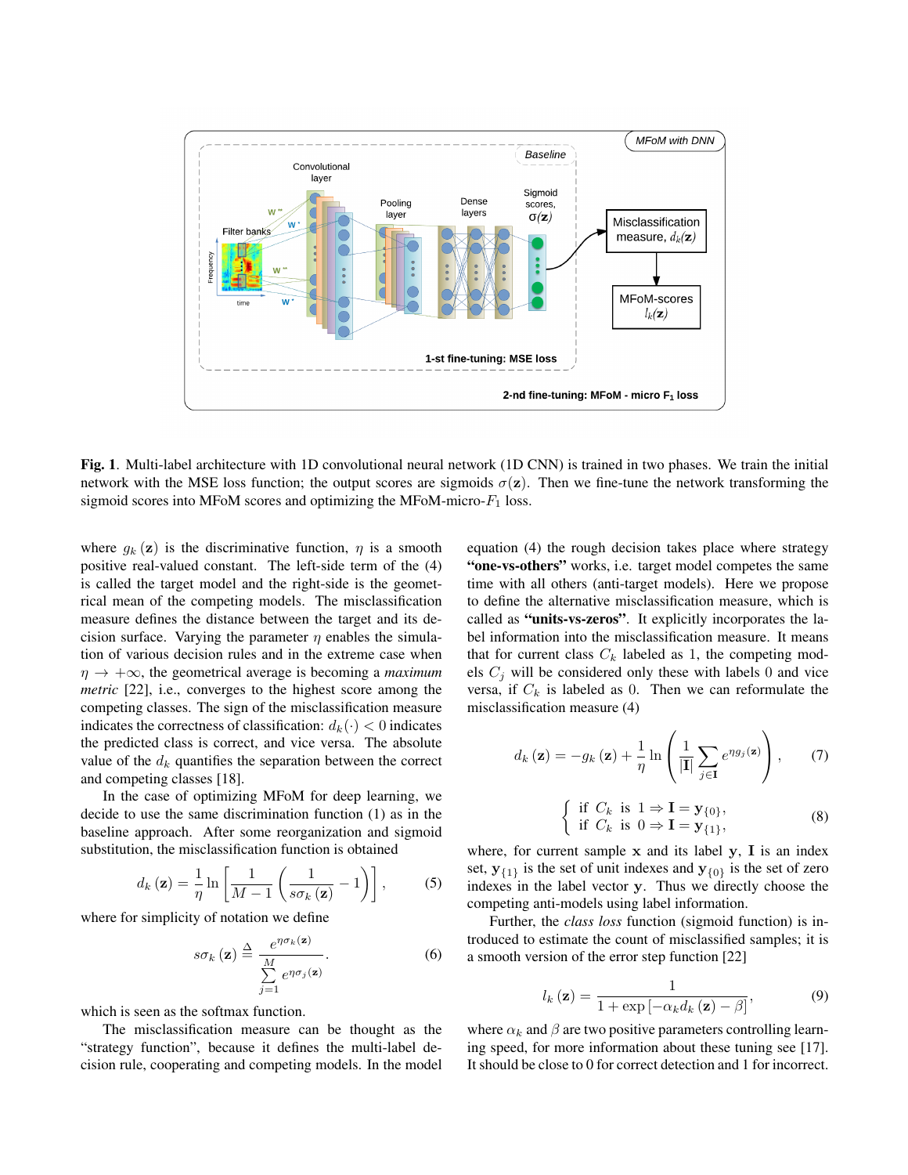

Fig. 1. Multi-label architecture with 1D convolutional neural network (1D CNN) is trained in two phases. We train the initial network with the MSE loss function; the output scores are sigmoids  $\sigma(z)$ . Then we fine-tune the network transforming the sigmoid scores into MFoM scores and optimizing the MFoM-micro- $F_1$  loss.

where  $g_k(z)$  is the discriminative function,  $\eta$  is a smooth positive real-valued constant. The left-side term of the (4) is called the target model and the right-side is the geometrical mean of the competing models. The misclassification measure defines the distance between the target and its decision surface. Varying the parameter  $\eta$  enables the simulation of various decision rules and in the extreme case when  $\eta \rightarrow +\infty$ , the geometrical average is becoming a *maximum metric* [22], i.e., converges to the highest score among the competing classes. The sign of the misclassification measure indicates the correctness of classification:  $d_k(\cdot) < 0$  indicates the predicted class is correct, and vice versa. The absolute value of the  $d_k$  quantifies the separation between the correct and competing classes [18].

In the case of optimizing MFoM for deep learning, we decide to use the same discrimination function (1) as in the baseline approach. After some reorganization and sigmoid substitution, the misclassification function is obtained

$$
d_{k}(\mathbf{z}) = \frac{1}{\eta} \ln \left[ \frac{1}{M-1} \left( \frac{1}{s \sigma_{k}(\mathbf{z})} - 1 \right) \right],
$$
 (5)

where for simplicity of notation we define

$$
s\sigma_k(\mathbf{z}) \stackrel{\Delta}{=} \frac{e^{\eta\sigma_k(\mathbf{z})}}{\sum\limits_{j=1}^M e^{\eta\sigma_j(\mathbf{z})}}.
$$
 (6)

which is seen as the softmax function.

The misclassification measure can be thought as the "strategy function", because it defines the multi-label decision rule, cooperating and competing models. In the model equation (4) the rough decision takes place where strategy "one-vs-others" works, i.e. target model competes the same time with all others (anti-target models). Here we propose to define the alternative misclassification measure, which is called as "units-vs-zeros". It explicitly incorporates the label information into the misclassification measure. It means that for current class  $C_k$  labeled as 1, the competing models  $C_i$  will be considered only these with labels 0 and vice versa, if  $C_k$  is labeled as 0. Then we can reformulate the misclassification measure (4)

$$
d_k(\mathbf{z}) = -g_k(\mathbf{z}) + \frac{1}{\eta} \ln \left( \frac{1}{|\mathbf{I}|} \sum_{j \in \mathbf{I}} e^{\eta g_j(\mathbf{z})} \right), \qquad (7)
$$

$$
\begin{cases} \text{if } C_k \text{ is } 1 \Rightarrow \mathbf{I} = \mathbf{y}_{\{0\}}, \\ \text{if } C_k \text{ is } 0 \Rightarrow \mathbf{I} = \mathbf{y}_{\{1\}}, \end{cases} \tag{8}
$$

where, for current sample  $x$  and its label  $y$ ,  $I$  is an index set,  $y_{\{1\}}$  is the set of unit indexes and  $y_{\{0\}}$  is the set of zero indexes in the label vector y. Thus we directly choose the competing anti-models using label information.

Further, the *class loss* function (sigmoid function) is introduced to estimate the count of misclassified samples; it is a smooth version of the error step function [22]

$$
l_k(\mathbf{z}) = \frac{1}{1 + \exp\left[-\alpha_k d_k(\mathbf{z}) - \beta\right]},\tag{9}
$$

where  $\alpha_k$  and  $\beta$  are two positive parameters controlling learning speed, for more information about these tuning see [17]. It should be close to 0 for correct detection and 1 for incorrect.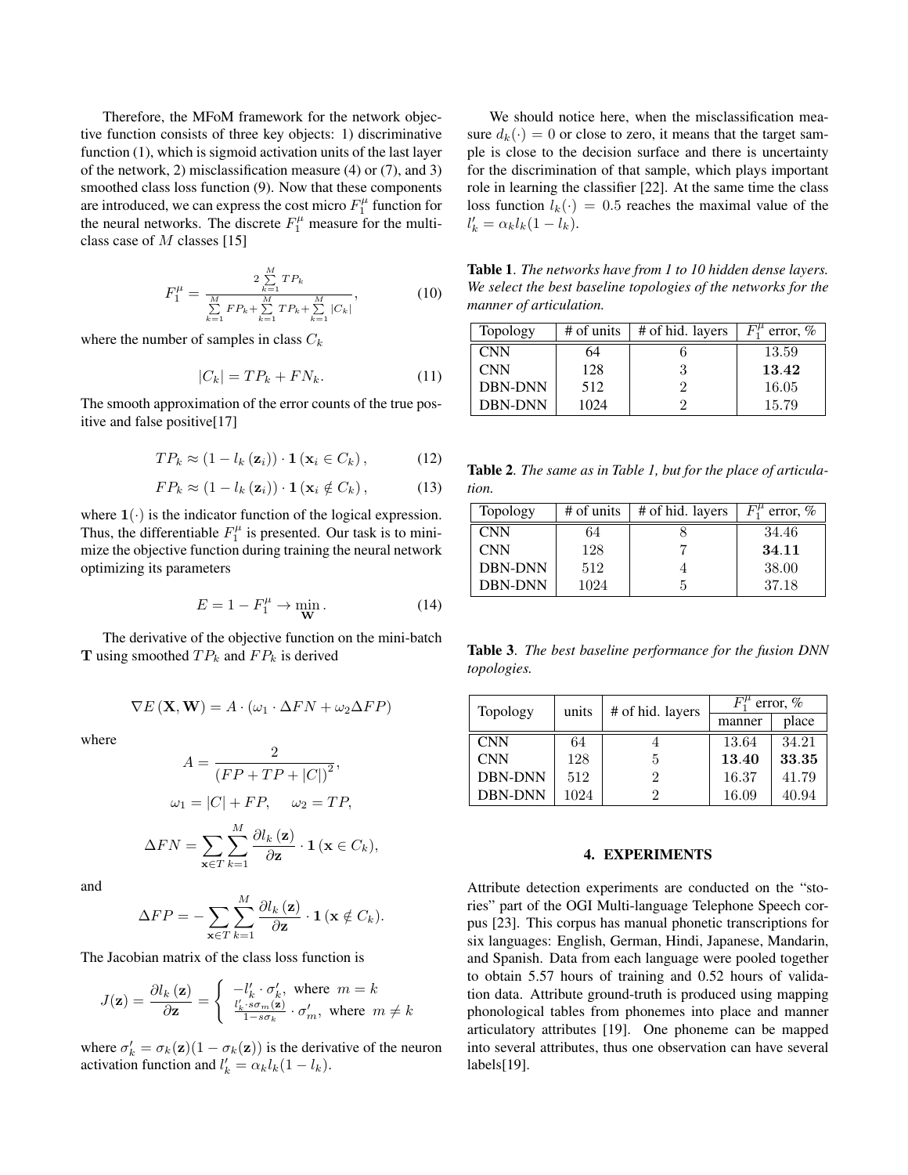Therefore, the MFoM framework for the network objective function consists of three key objects: 1) discriminative function (1), which is sigmoid activation units of the last layer of the network, 2) misclassification measure (4) or (7), and 3) smoothed class loss function (9). Now that these components are introduced, we can express the cost micro  $F_1^{\mu}$  function for the neural networks. The discrete  $F_1^{\mu}$  measure for the multiclass case of M classes [15]

$$
F_1^{\mu} = \frac{2 \sum\limits_{k=1}^{M} TP_k}{\sum\limits_{k=1}^{M} FP_k + \sum\limits_{k=1}^{M} TP_k + \sum\limits_{k=1}^{M} |C_k|},\tag{10}
$$

where the number of samples in class  $C_k$ 

$$
|C_k| = TP_k + FN_k. \tag{11}
$$

The smooth approximation of the error counts of the true positive and false positive[17]

$$
TP_k \approx (1 - l_k(\mathbf{z}_i)) \cdot \mathbf{1}(\mathbf{x}_i \in C_k), \tag{12}
$$

$$
FP_k \approx (1 - l_k(\mathbf{z}_i)) \cdot \mathbf{1}(\mathbf{x}_i \notin C_k), \tag{13}
$$

where  $1(\cdot)$  is the indicator function of the logical expression. Thus, the differentiable  $F_1^{\mu}$  is presented. Our task is to minimize the objective function during training the neural network optimizing its parameters

$$
E = 1 - F_1^{\mu} \to \min_{\mathbf{W}}.
$$
 (14)

The derivative of the objective function on the mini-batch **T** using smoothed  $TP_k$  and  $FP_k$  is derived

$$
\nabla E(\mathbf{X}, \mathbf{W}) = A \cdot (\omega_1 \cdot \Delta FN + \omega_2 \Delta FP)
$$

 $\sim$ 

where

$$
A = \frac{2}{(FP + TP + |C|)^2},
$$

$$
\omega_1 = |C| + FP, \quad \omega_2 = TP,
$$

$$
\Delta FN = \sum_{\mathbf{x} \in T} \sum_{k=1}^{M} \frac{\partial l_k(\mathbf{z})}{\partial \mathbf{z}} \cdot \mathbf{1}(\mathbf{x} \in C_k),
$$

and

$$
\Delta FP = -\sum_{\mathbf{x}\in T}\sum_{k=1}^{M}\frac{\partial l_k(\mathbf{z})}{\partial \mathbf{z}}\cdot \mathbf{1}(\mathbf{x}\notin C_k).
$$

The Jacobian matrix of the class loss function is

$$
J(\mathbf{z}) = \frac{\partial l_k(\mathbf{z})}{\partial \mathbf{z}} = \begin{cases} -l'_k \cdot \sigma'_k, & \text{where } m = k\\ \frac{l'_k \cdot s \sigma_m(\mathbf{z})}{1 - s \sigma_k} \cdot \sigma'_m, & \text{where } m \neq k \end{cases}
$$

where  $\sigma'_k = \sigma_k(\mathbf{z})(1 - \sigma_k(\mathbf{z}))$  is the derivative of the neuron activation function and  $l'_k = \alpha_k l_k (1 - l_k)$ .

We should notice here, when the misclassification measure  $d_k(\cdot) = 0$  or close to zero, it means that the target sample is close to the decision surface and there is uncertainty for the discrimination of that sample, which plays important role in learning the classifier [22]. At the same time the class loss function  $l_k(\cdot) = 0.5$  reaches the maximal value of the  $l'_{k} = \alpha_{k} l_{k} (1 - l_{k}).$ 

Table 1. *The networks have from 1 to 10 hidden dense layers. We select the best baseline topologies of the networks for the manner of articulation.*

| Topology       | # of units | # of hid. layers | $F_1^{\mu}$ error, % |
|----------------|------------|------------------|----------------------|
| <b>CNN</b>     | 64         |                  | 13.59                |
| <b>CNN</b>     | 128        |                  | 13.42                |
| <b>DBN-DNN</b> | 512        |                  | 16.05                |
| <b>DBN-DNN</b> | 1024       | $\epsilon$       | 15.79                |

Table 2. *The same as in Table 1, but for the place of articulation.*

| Topology       | # of units | # of hid. layers | error, $%$ |
|----------------|------------|------------------|------------|
| <b>CNN</b>     | 64         |                  | 34.46      |
| <b>CNN</b>     | 128        |                  | 34.11      |
| <b>DBN-DNN</b> | 512        |                  | 38.00      |
| <b>DBN-DNN</b> | 1024       |                  | 37.18      |

Table 3. *The best baseline performance for the fusion DNN topologies.*

| Topology       | units | # of hid. layers | $\overline{F}_1^{\mu}$ error, % |       |
|----------------|-------|------------------|---------------------------------|-------|
|                |       |                  | manner                          | place |
| <b>CNN</b>     | 64    |                  | 13.64                           | 34.21 |
| <b>CNN</b>     | 128   | 5                | 13.40                           | 33.35 |
| <b>DBN-DNN</b> | 512   | 2                | 16.37                           | 41.79 |
| <b>DBN-DNN</b> | 1024  | 2                | 16.09                           | 40.94 |

#### 4. EXPERIMENTS

Attribute detection experiments are conducted on the "stories" part of the OGI Multi-language Telephone Speech corpus [23]. This corpus has manual phonetic transcriptions for six languages: English, German, Hindi, Japanese, Mandarin, and Spanish. Data from each language were pooled together to obtain 5.57 hours of training and 0.52 hours of validation data. Attribute ground-truth is produced using mapping phonological tables from phonemes into place and manner articulatory attributes [19]. One phoneme can be mapped into several attributes, thus one observation can have several labels[19].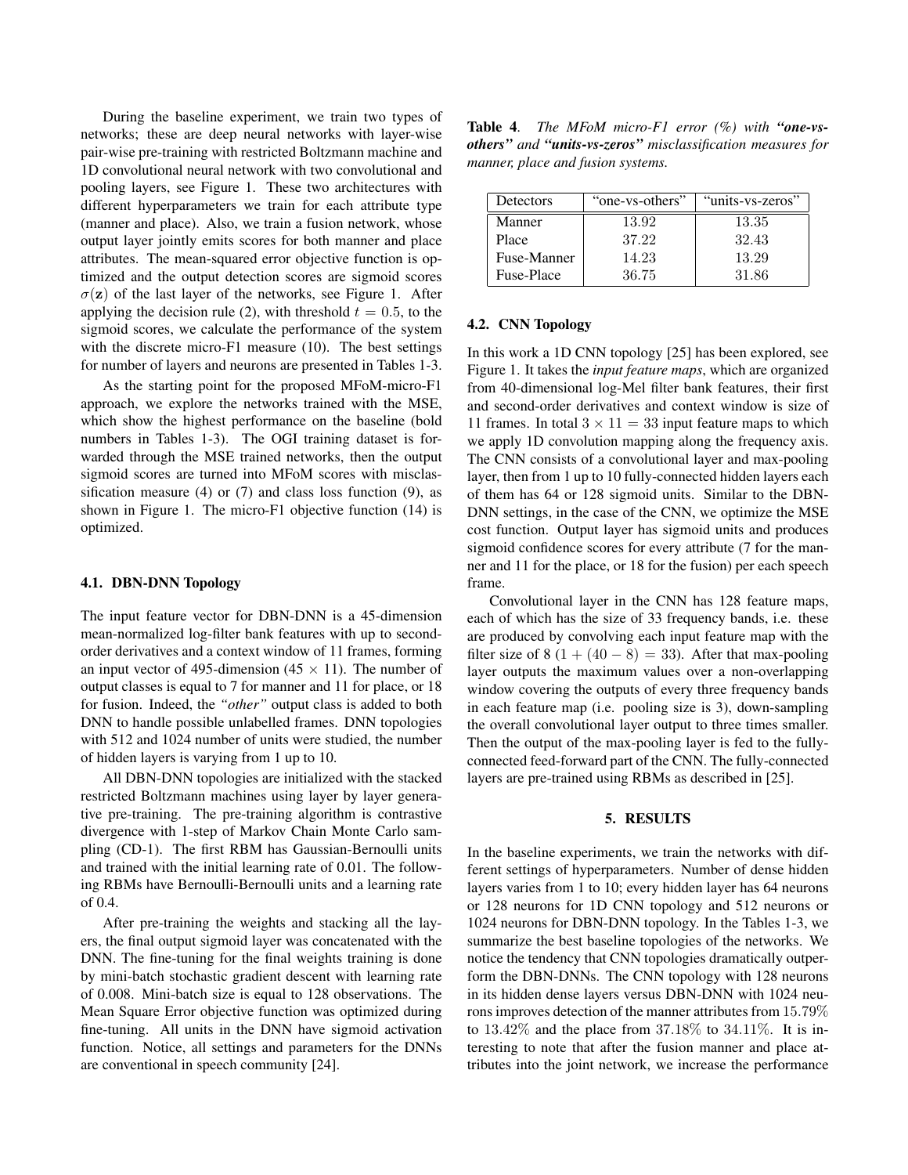During the baseline experiment, we train two types of networks; these are deep neural networks with layer-wise pair-wise pre-training with restricted Boltzmann machine and 1D convolutional neural network with two convolutional and pooling layers, see Figure 1. These two architectures with different hyperparameters we train for each attribute type (manner and place). Also, we train a fusion network, whose output layer jointly emits scores for both manner and place attributes. The mean-squared error objective function is optimized and the output detection scores are sigmoid scores  $\sigma(z)$  of the last layer of the networks, see Figure 1. After applying the decision rule (2), with threshold  $t = 0.5$ , to the sigmoid scores, we calculate the performance of the system with the discrete micro-F1 measure (10). The best settings for number of layers and neurons are presented in Tables 1-3.

As the starting point for the proposed MFoM-micro-F1 approach, we explore the networks trained with the MSE, which show the highest performance on the baseline (bold numbers in Tables 1-3). The OGI training dataset is forwarded through the MSE trained networks, then the output sigmoid scores are turned into MFoM scores with misclassification measure (4) or  $(7)$  and class loss function (9), as shown in Figure 1. The micro-F1 objective function (14) is optimized.

#### 4.1. DBN-DNN Topology

The input feature vector for DBN-DNN is a 45-dimension mean-normalized log-filter bank features with up to secondorder derivatives and a context window of 11 frames, forming an input vector of 495-dimension (45  $\times$  11). The number of output classes is equal to 7 for manner and 11 for place, or 18 for fusion. Indeed, the *"other"* output class is added to both DNN to handle possible unlabelled frames. DNN topologies with 512 and 1024 number of units were studied, the number of hidden layers is varying from 1 up to 10.

All DBN-DNN topologies are initialized with the stacked restricted Boltzmann machines using layer by layer generative pre-training. The pre-training algorithm is contrastive divergence with 1-step of Markov Chain Monte Carlo sampling (CD-1). The first RBM has Gaussian-Bernoulli units and trained with the initial learning rate of 0.01. The following RBMs have Bernoulli-Bernoulli units and a learning rate of 0.4.

After pre-training the weights and stacking all the layers, the final output sigmoid layer was concatenated with the DNN. The fine-tuning for the final weights training is done by mini-batch stochastic gradient descent with learning rate of 0.008. Mini-batch size is equal to 128 observations. The Mean Square Error objective function was optimized during fine-tuning. All units in the DNN have sigmoid activation function. Notice, all settings and parameters for the DNNs are conventional in speech community [24].

Table 4. *The MFoM micro-F1 error (%) with "one-vsothers" and "units-vs-zeros" misclassification measures for manner, place and fusion systems.*

| Detectors   | "one-vs-others" | "units-vs-zeros" |  |
|-------------|-----------------|------------------|--|
| Manner      | 13.92           | 13.35            |  |
| Place       | 37.22           | 32.43            |  |
| Fuse-Manner | 14.23           | 13.29            |  |
| Fuse-Place  | 36.75           | 31.86            |  |

## 4.2. CNN Topology

In this work a 1D CNN topology [25] has been explored, see Figure 1. It takes the *input feature maps*, which are organized from 40-dimensional log-Mel filter bank features, their first and second-order derivatives and context window is size of 11 frames. In total  $3 \times 11 = 33$  input feature maps to which we apply 1D convolution mapping along the frequency axis. The CNN consists of a convolutional layer and max-pooling layer, then from 1 up to 10 fully-connected hidden layers each of them has 64 or 128 sigmoid units. Similar to the DBN-DNN settings, in the case of the CNN, we optimize the MSE cost function. Output layer has sigmoid units and produces sigmoid confidence scores for every attribute (7 for the manner and 11 for the place, or 18 for the fusion) per each speech frame.

Convolutional layer in the CNN has 128 feature maps, each of which has the size of 33 frequency bands, i.e. these are produced by convolving each input feature map with the filter size of 8  $(1 + (40 - 8) = 33)$ . After that max-pooling layer outputs the maximum values over a non-overlapping window covering the outputs of every three frequency bands in each feature map (i.e. pooling size is 3), down-sampling the overall convolutional layer output to three times smaller. Then the output of the max-pooling layer is fed to the fullyconnected feed-forward part of the CNN. The fully-connected layers are pre-trained using RBMs as described in [25].

#### 5. RESULTS

In the baseline experiments, we train the networks with different settings of hyperparameters. Number of dense hidden layers varies from 1 to 10; every hidden layer has 64 neurons or 128 neurons for 1D CNN topology and 512 neurons or 1024 neurons for DBN-DNN topology. In the Tables 1-3, we summarize the best baseline topologies of the networks. We notice the tendency that CNN topologies dramatically outperform the DBN-DNNs. The CNN topology with 128 neurons in its hidden dense layers versus DBN-DNN with 1024 neurons improves detection of the manner attributes from 15.79% to  $13.42\%$  and the place from  $37.18\%$  to  $34.11\%$ . It is interesting to note that after the fusion manner and place attributes into the joint network, we increase the performance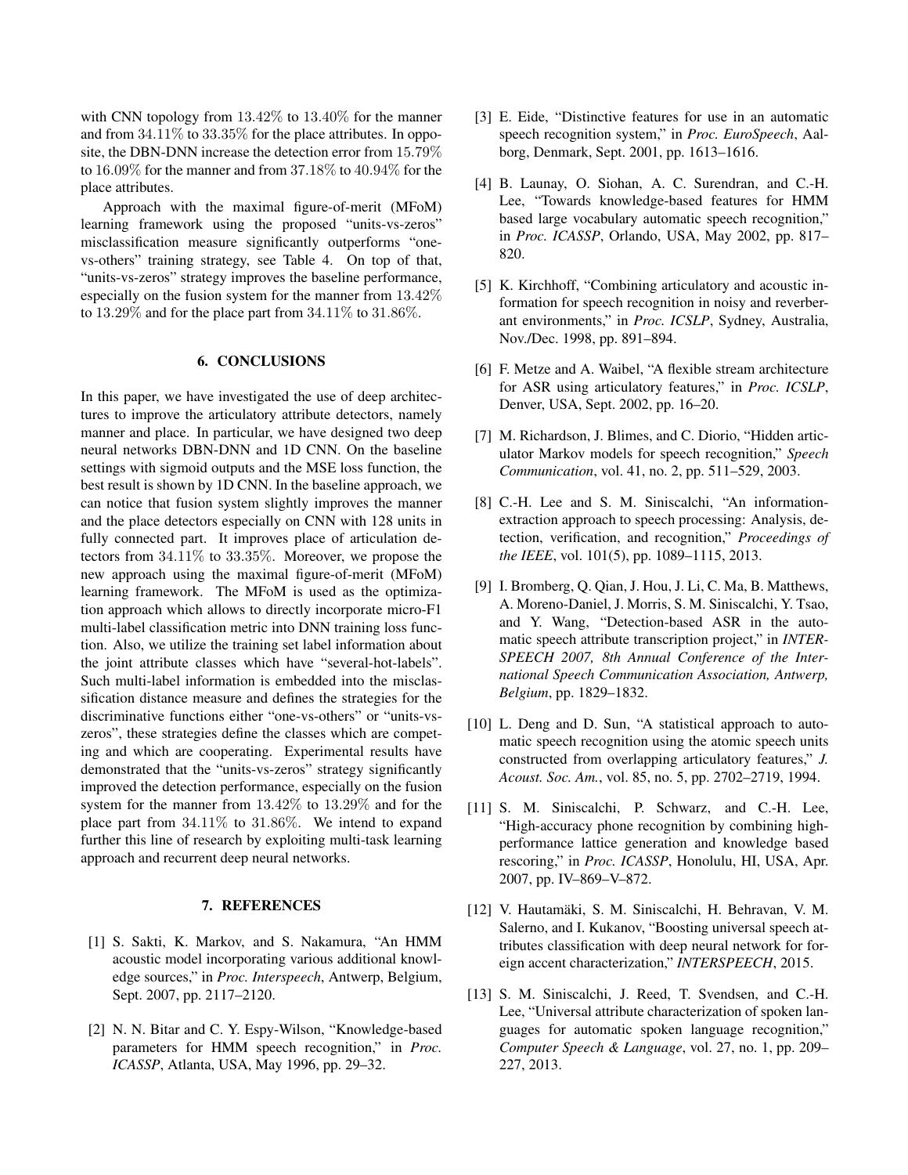with CNN topology from 13.42% to 13.40% for the manner and from  $34.11\%$  to  $33.35\%$  for the place attributes. In opposite, the DBN-DNN increase the detection error from 15.79% to 16.09% for the manner and from 37.18% to 40.94% for the place attributes.

Approach with the maximal figure-of-merit (MFoM) learning framework using the proposed "units-vs-zeros" misclassification measure significantly outperforms "onevs-others" training strategy, see Table 4. On top of that, "units-vs-zeros" strategy improves the baseline performance, especially on the fusion system for the manner from 13.42% to 13.29% and for the place part from 34.11% to 31.86%.

## 6. CONCLUSIONS

In this paper, we have investigated the use of deep architectures to improve the articulatory attribute detectors, namely manner and place. In particular, we have designed two deep neural networks DBN-DNN and 1D CNN. On the baseline settings with sigmoid outputs and the MSE loss function, the best result is shown by 1D CNN. In the baseline approach, we can notice that fusion system slightly improves the manner and the place detectors especially on CNN with 128 units in fully connected part. It improves place of articulation detectors from 34.11% to 33.35%. Moreover, we propose the new approach using the maximal figure-of-merit (MFoM) learning framework. The MFoM is used as the optimization approach which allows to directly incorporate micro-F1 multi-label classification metric into DNN training loss function. Also, we utilize the training set label information about the joint attribute classes which have "several-hot-labels". Such multi-label information is embedded into the misclassification distance measure and defines the strategies for the discriminative functions either "one-vs-others" or "units-vszeros", these strategies define the classes which are competing and which are cooperating. Experimental results have demonstrated that the "units-vs-zeros" strategy significantly improved the detection performance, especially on the fusion system for the manner from 13.42% to 13.29% and for the place part from 34.11% to 31.86%. We intend to expand further this line of research by exploiting multi-task learning approach and recurrent deep neural networks.

## 7. REFERENCES

- [1] S. Sakti, K. Markov, and S. Nakamura, "An HMM acoustic model incorporating various additional knowledge sources," in *Proc. Interspeech*, Antwerp, Belgium, Sept. 2007, pp. 2117–2120.
- [2] N. N. Bitar and C. Y. Espy-Wilson, "Knowledge-based" parameters for HMM speech recognition," in *Proc. ICASSP*, Atlanta, USA, May 1996, pp. 29–32.
- [3] E. Eide, "Distinctive features for use in an automatic speech recognition system," in *Proc. EuroSpeech*, Aalborg, Denmark, Sept. 2001, pp. 1613–1616.
- [4] B. Launay, O. Siohan, A. C. Surendran, and C.-H. Lee, "Towards knowledge-based features for HMM based large vocabulary automatic speech recognition," in *Proc. ICASSP*, Orlando, USA, May 2002, pp. 817– 820.
- [5] K. Kirchhoff, "Combining articulatory and acoustic information for speech recognition in noisy and reverberant environments," in *Proc. ICSLP*, Sydney, Australia, Nov./Dec. 1998, pp. 891–894.
- [6] F. Metze and A. Waibel, "A flexible stream architecture for ASR using articulatory features," in *Proc. ICSLP*, Denver, USA, Sept. 2002, pp. 16–20.
- [7] M. Richardson, J. Blimes, and C. Diorio, "Hidden articulator Markov models for speech recognition," *Speech Communication*, vol. 41, no. 2, pp. 511–529, 2003.
- [8] C.-H. Lee and S. M. Siniscalchi, "An informationextraction approach to speech processing: Analysis, detection, verification, and recognition," *Proceedings of the IEEE*, vol. 101(5), pp. 1089–1115, 2013.
- [9] I. Bromberg, Q. Qian, J. Hou, J. Li, C. Ma, B. Matthews, A. Moreno-Daniel, J. Morris, S. M. Siniscalchi, Y. Tsao, and Y. Wang, "Detection-based ASR in the automatic speech attribute transcription project," in *INTER-SPEECH 2007, 8th Annual Conference of the International Speech Communication Association, Antwerp, Belgium*, pp. 1829–1832.
- [10] L. Deng and D. Sun, "A statistical approach to automatic speech recognition using the atomic speech units constructed from overlapping articulatory features," *J. Acoust. Soc. Am.*, vol. 85, no. 5, pp. 2702–2719, 1994.
- [11] S. M. Siniscalchi, P. Schwarz, and C.-H. Lee, "High-accuracy phone recognition by combining highperformance lattice generation and knowledge based rescoring," in *Proc. ICASSP*, Honolulu, HI, USA, Apr. 2007, pp. IV–869–V–872.
- [12] V. Hautamäki, S. M. Siniscalchi, H. Behravan, V. M. Salerno, and I. Kukanov, "Boosting universal speech attributes classification with deep neural network for foreign accent characterization," *INTERSPEECH*, 2015.
- [13] S. M. Siniscalchi, J. Reed, T. Svendsen, and C.-H. Lee, "Universal attribute characterization of spoken languages for automatic spoken language recognition," *Computer Speech & Language*, vol. 27, no. 1, pp. 209– 227, 2013.